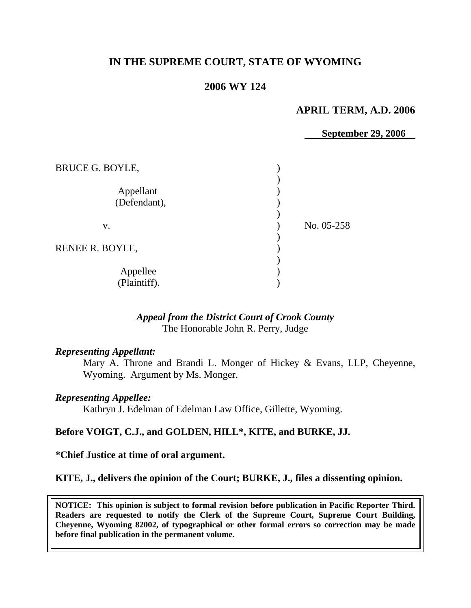# **IN THE SUPREME COURT, STATE OF WYOMING**

# **2006 WY 124**

# **APRIL TERM, A.D. 2006**

**September 29, 2006** 

| <b>BRUCE G. BOYLE,</b>    |            |
|---------------------------|------------|
| Appellant<br>(Defendant), |            |
| V.                        | No. 05-258 |
| RENEE R. BOYLE,           |            |
| Appellee<br>(Plaintiff).  |            |

### *Appeal from the District Court of Crook County* The Honorable John R. Perry, Judge

#### *Representing Appellant:*

 Mary A. Throne and Brandi L. Monger of Hickey & Evans, LLP, Cheyenne, Wyoming. Argument by Ms. Monger.

#### *Representing Appellee:*

Kathryn J. Edelman of Edelman Law Office, Gillette, Wyoming.

#### **Before VOIGT, C.J., and GOLDEN, HILL\*, KITE, and BURKE, JJ.**

#### **\*Chief Justice at time of oral argument.**

#### **KITE, J., delivers the opinion of the Court; BURKE, J., files a dissenting opinion.**

**NOTICE: This opinion is subject to formal revision before publication in Pacific Reporter Third. Readers are requested to notify the Clerk of the Supreme Court, Supreme Court Building, Cheyenne, Wyoming 82002, of typographical or other formal errors so correction may be made before final publication in the permanent volume.**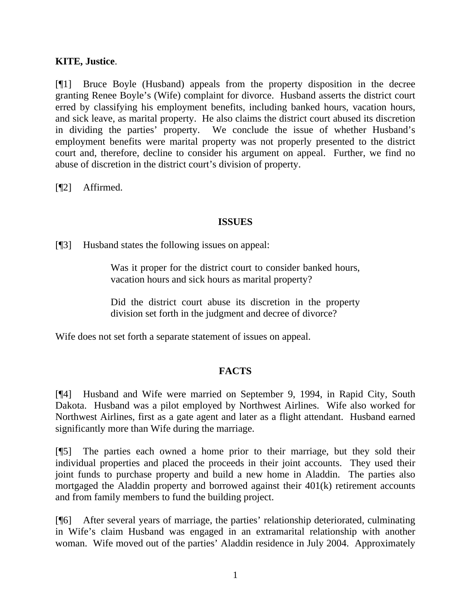### **KITE, Justice**.

[¶1] Bruce Boyle (Husband) appeals from the property disposition in the decree granting Renee Boyle's (Wife) complaint for divorce. Husband asserts the district court erred by classifying his employment benefits, including banked hours, vacation hours, and sick leave, as marital property. He also claims the district court abused its discretion in dividing the parties' property. We conclude the issue of whether Husband's employment benefits were marital property was not properly presented to the district court and, therefore, decline to consider his argument on appeal. Further, we find no abuse of discretion in the district court's division of property.

[¶2] Affirmed.

#### **ISSUES**

[¶3] Husband states the following issues on appeal:

Was it proper for the district court to consider banked hours, vacation hours and sick hours as marital property?

Did the district court abuse its discretion in the property division set forth in the judgment and decree of divorce?

Wife does not set forth a separate statement of issues on appeal.

# **FACTS**

[¶4] Husband and Wife were married on September 9, 1994, in Rapid City, South Dakota. Husband was a pilot employed by Northwest Airlines. Wife also worked for Northwest Airlines, first as a gate agent and later as a flight attendant. Husband earned significantly more than Wife during the marriage.

[¶5] The parties each owned a home prior to their marriage, but they sold their individual properties and placed the proceeds in their joint accounts. They used their joint funds to purchase property and build a new home in Aladdin. The parties also mortgaged the Aladdin property and borrowed against their 401(k) retirement accounts and from family members to fund the building project.

[¶6] After several years of marriage, the parties' relationship deteriorated, culminating in Wife's claim Husband was engaged in an extramarital relationship with another woman. Wife moved out of the parties' Aladdin residence in July 2004. Approximately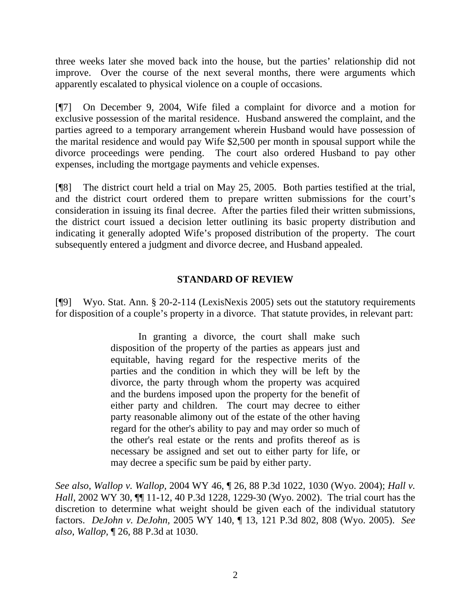three weeks later she moved back into the house, but the parties' relationship did not improve. Over the course of the next several months, there were arguments which apparently escalated to physical violence on a couple of occasions.

[¶7] On December 9, 2004, Wife filed a complaint for divorce and a motion for exclusive possession of the marital residence. Husband answered the complaint, and the parties agreed to a temporary arrangement wherein Husband would have possession of the marital residence and would pay Wife \$2,500 per month in spousal support while the divorce proceedings were pending. The court also ordered Husband to pay other expenses, including the mortgage payments and vehicle expenses.

[¶8] The district court held a trial on May 25, 2005. Both parties testified at the trial, and the district court ordered them to prepare written submissions for the court's consideration in issuing its final decree. After the parties filed their written submissions, the district court issued a decision letter outlining its basic property distribution and indicating it generally adopted Wife's proposed distribution of the property. The court subsequently entered a judgment and divorce decree, and Husband appealed.

### **STANDARD OF REVIEW**

[¶9] Wyo. Stat. Ann. § 20-2-114 (LexisNexis 2005) sets out the statutory requirements for disposition of a couple's property in a divorce. That statute provides, in relevant part:

> In granting a divorce, the court shall make such disposition of the property of the parties as appears just and equitable, having regard for the respective merits of the parties and the condition in which they will be left by the divorce, the party through whom the property was acquired and the burdens imposed upon the property for the benefit of either party and children. The court may decree to either party reasonable alimony out of the estate of the other having regard for the other's ability to pay and may order so much of the other's real estate or the rents and profits thereof as is necessary be assigned and set out to either party for life, or may decree a specific sum be paid by either party.

*See also*, *Wallop v. Wallop,* 2004 WY 46, ¶ 26, 88 P.3d 1022, 1030 (Wyo. 2004); *Hall v. Hall*, 2002 WY 30, ¶¶ 11-12, 40 P.3d 1228, 1229-30 (Wyo. 2002). The trial court has the discretion to determine what weight should be given each of the individual statutory factors. *DeJohn v. DeJohn,* 2005 WY 140, ¶ 13, 121 P.3d 802, 808 (Wyo. 2005). *See also*, *Wallop,* ¶ 26, 88 P.3d at 1030.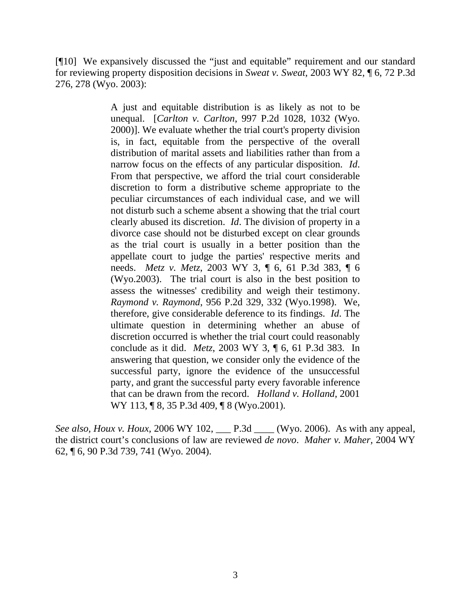[¶10] We expansively discussed the "just and equitable" requirement and our standard for reviewing property disposition decisions in *Sweat v. Sweat,* 2003 WY 82, ¶ 6, 72 P.3d 276, 278 (Wyo. 2003):

> A just and equitable distribution is as likely as not to be unequal. [*Carlton v. Carlton*, 997 P.2d 1028, 1032 (Wyo. 2000)]. We evaluate whether the trial court's property division is, in fact, equitable from the perspective of the overall distribution of marital assets and liabilities rather than from a narrow focus on the effects of any particular disposition. *Id*. From that perspective, we afford the trial court considerable discretion to form a distributive scheme appropriate to the peculiar circumstances of each individual case, and we will not disturb such a scheme absent a showing that the trial court clearly abused its discretion. *Id*. The division of property in a divorce case should not be disturbed except on clear grounds as the trial court is usually in a better position than the appellate court to judge the parties' respective merits and needs. *Metz v. Metz*, 2003 WY 3, ¶ 6, 61 P.3d 383, ¶ 6 (Wyo.2003). The trial court is also in the best position to assess the witnesses' credibility and weigh their testimony. *Raymond v. Raymond*, 956 P.2d 329, 332 (Wyo.1998). We, therefore, give considerable deference to its findings. *Id*. The ultimate question in determining whether an abuse of discretion occurred is whether the trial court could reasonably conclude as it did. *Metz*, 2003 WY 3, ¶ 6, 61 P.3d 383. In answering that question, we consider only the evidence of the successful party, ignore the evidence of the unsuccessful party, and grant the successful party every favorable inference that can be drawn from the record. *Holland v. Holland*, 2001 WY 113, **[8, 35 P.3d 409, [8 (Wyo.2001).**

*See also, Houx v. Houx,* 2006 WY 102, \_\_\_ P.3d \_\_\_\_ (Wyo. 2006). As with any appeal, the district court's conclusions of law are reviewed *de novo*. *Maher v. Maher,* 2004 WY 62, ¶ 6, 90 P.3d 739, 741 (Wyo. 2004).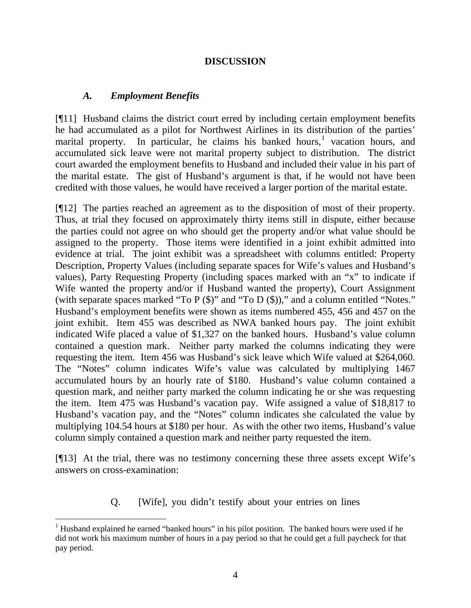# **DISCUSSION**

### *A. Employment Benefits*

[¶11] Husband claims the district court erred by including certain employment benefits he had accumulated as a pilot for Northwest Airlines in its distribution of the parties' marital property. In particular, he claims his banked hours,<sup>[1](#page-5-0)</sup> vacation hours, and accumulated sick leave were not marital property subject to distribution. The district court awarded the employment benefits to Husband and included their value in his part of the marital estate. The gist of Husband's argument is that, if he would not have been credited with those values, he would have received a larger portion of the marital estate.

[¶12] The parties reached an agreement as to the disposition of most of their property. Thus, at trial they focused on approximately thirty items still in dispute, either because the parties could not agree on who should get the property and/or what value should be assigned to the property. Those items were identified in a joint exhibit admitted into evidence at trial. The joint exhibit was a spreadsheet with columns entitled: Property Description, Property Values (including separate spaces for Wife's values and Husband's values), Party Requesting Property (including spaces marked with an "x" to indicate if Wife wanted the property and/or if Husband wanted the property), Court Assignment (with separate spaces marked "To P (\$)" and "To D (\$))," and a column entitled "Notes." Husband's employment benefits were shown as items numbered 455, 456 and 457 on the joint exhibit. Item 455 was described as NWA banked hours pay. The joint exhibit indicated Wife placed a value of \$1,327 on the banked hours. Husband's value column contained a question mark. Neither party marked the columns indicating they were requesting the item. Item 456 was Husband's sick leave which Wife valued at \$264,060. The "Notes" column indicates Wife's value was calculated by multiplying 1467 accumulated hours by an hourly rate of \$180. Husband's value column contained a question mark, and neither party marked the column indicating he or she was requesting the item. Item 475 was Husband's vacation pay. Wife assigned a value of \$18,817 to Husband's vacation pay, and the "Notes" column indicates she calculated the value by multiplying 104.54 hours at \$180 per hour. As with the other two items, Husband's value column simply contained a question mark and neither party requested the item.

[¶13] At the trial, there was no testimony concerning these three assets except Wife's answers on cross-examination:

Q. [Wife], you didn't testify about your entries on lines

<span id="page-5-0"></span><sup>&</sup>lt;sup>1</sup> Husband explained he earned "banked hours" in his pilot position. The banked hours were used if he did not work his maximum number of hours in a pay period so that he could get a full paycheck for that pay period.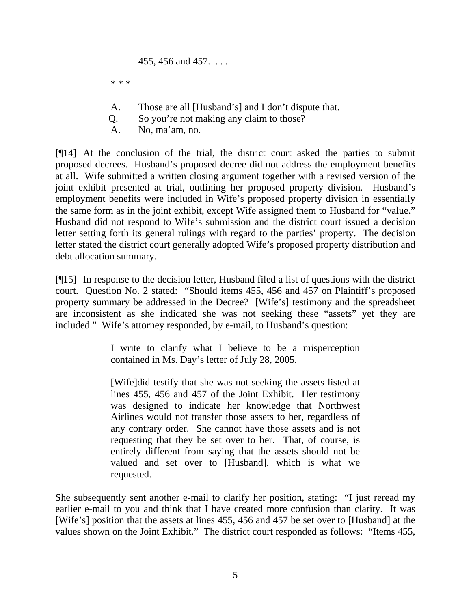455, 456 and 457. . . .

\* \* \*

- A. Those are all [Husband's] and I don't dispute that.
- Q. So you're not making any claim to those?
- A. No, ma'am, no.

[¶14] At the conclusion of the trial, the district court asked the parties to submit proposed decrees. Husband's proposed decree did not address the employment benefits at all. Wife submitted a written closing argument together with a revised version of the joint exhibit presented at trial, outlining her proposed property division. Husband's employment benefits were included in Wife's proposed property division in essentially the same form as in the joint exhibit, except Wife assigned them to Husband for "value." Husband did not respond to Wife's submission and the district court issued a decision letter setting forth its general rulings with regard to the parties' property. The decision letter stated the district court generally adopted Wife's proposed property distribution and debt allocation summary.

[¶15] In response to the decision letter, Husband filed a list of questions with the district court. Question No. 2 stated: "Should items 455, 456 and 457 on Plaintiff's proposed property summary be addressed in the Decree? [Wife's] testimony and the spreadsheet are inconsistent as she indicated she was not seeking these "assets" yet they are included." Wife's attorney responded, by e-mail, to Husband's question:

> I write to clarify what I believe to be a misperception contained in Ms. Day's letter of July 28, 2005.

> [Wife]did testify that she was not seeking the assets listed at lines 455, 456 and 457 of the Joint Exhibit. Her testimony was designed to indicate her knowledge that Northwest Airlines would not transfer those assets to her, regardless of any contrary order. She cannot have those assets and is not requesting that they be set over to her. That, of course, is entirely different from saying that the assets should not be valued and set over to [Husband], which is what we requested.

She subsequently sent another e-mail to clarify her position, stating: "I just reread my earlier e-mail to you and think that I have created more confusion than clarity. It was [Wife's] position that the assets at lines 455, 456 and 457 be set over to [Husband] at the values shown on the Joint Exhibit." The district court responded as follows: "Items 455,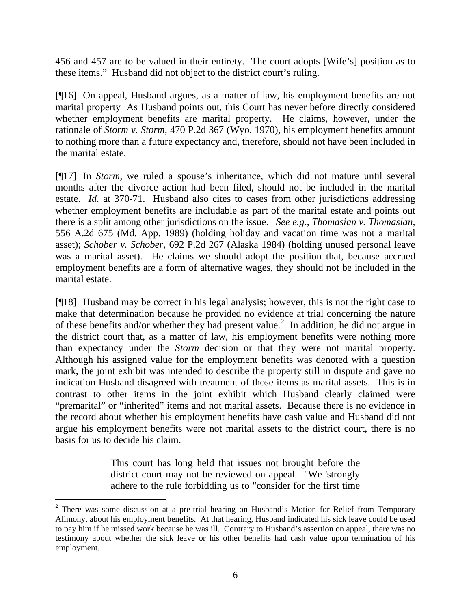456 and 457 are to be valued in their entirety. The court adopts [Wife's] position as to these items." Husband did not object to the district court's ruling.

[¶16] On appeal, Husband argues, as a matter of law, his employment benefits are not marital property As Husband points out, this Court has never before directly considered whether employment benefits are marital property. He claims, however, under the rationale of *Storm v. Storm,* 470 P.2d 367 (Wyo. 1970), his employment benefits amount to nothing more than a future expectancy and, therefore, should not have been included in the marital estate.

[¶17] In *Storm,* we ruled a spouse's inheritance, which did not mature until several months after the divorce action had been filed, should not be included in the marital estate. *Id.* at 370-71. Husband also cites to cases from other jurisdictions addressing whether employment benefits are includable as part of the marital estate and points out there is a split among other jurisdictions on the issue. *See e.g*., *Thomasian v. Thomasian,* 556 A.2d 675 (Md. App. 1989) (holding holiday and vacation time was not a marital asset); *Schober v. Schober,* 692 P.2d 267 (Alaska 1984) (holding unused personal leave was a marital asset). He claims we should adopt the position that, because accrued employment benefits are a form of alternative wages, they should not be included in the marital estate.

[¶18] Husband may be correct in his legal analysis; however, this is not the right case to make that determination because he provided no evidence at trial concerning the nature of these benefits and/or whether they had present value.<sup>[2](#page-7-0)</sup> In addition, he did not argue in the district court that, as a matter of law, his employment benefits were nothing more than expectancy under the *Storm* decision or that they were not marital property. Although his assigned value for the employment benefits was denoted with a question mark, the joint exhibit was intended to describe the property still in dispute and gave no indication Husband disagreed with treatment of those items as marital assets. This is in contrast to other items in the joint exhibit which Husband clearly claimed were "premarital" or "inherited" items and not marital assets. Because there is no evidence in the record about whether his employment benefits have cash value and Husband did not argue his employment benefits were not marital assets to the district court, there is no basis for us to decide his claim.

> This court has long held that issues not brought before the district court may not be reviewed on appeal. "We 'strongly adhere to the rule forbidding us to "consider for the first time

 $\overline{a}$ 

<span id="page-7-0"></span> $2$  There was some discussion at a pre-trial hearing on Husband's Motion for Relief from Temporary Alimony, about his employment benefits. At that hearing, Husband indicated his sick leave could be used to pay him if he missed work because he was ill. Contrary to Husband's assertion on appeal, there was no testimony about whether the sick leave or his other benefits had cash value upon termination of his employment.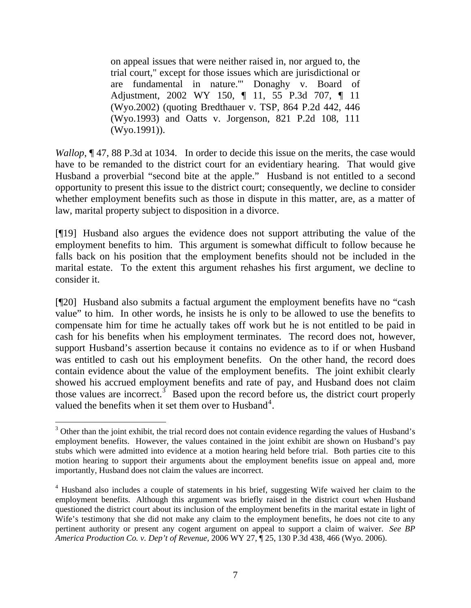on appeal issues that were neither raised in, nor argued to, the trial court," except for those issues which are jurisdictional or are fundamental in nature.'" Donaghy v. Board of Adjustment, 2002 WY 150, ¶ 11, 55 P.3d 707, ¶ 11 (Wyo.2002) (quoting Bredthauer v. TSP, 864 P.2d 442, 446 (Wyo.1993) and Oatts v. Jorgenson, 821 P.2d 108, 111 (Wyo.1991)).

*Wallop*,  $\P$  47, 88 P.3d at 1034. In order to decide this issue on the merits, the case would have to be remanded to the district court for an evidentiary hearing. That would give Husband a proverbial "second bite at the apple." Husband is not entitled to a second opportunity to present this issue to the district court; consequently, we decline to consider whether employment benefits such as those in dispute in this matter, are, as a matter of law, marital property subject to disposition in a divorce.

[¶19] Husband also argues the evidence does not support attributing the value of the employment benefits to him. This argument is somewhat difficult to follow because he falls back on his position that the employment benefits should not be included in the marital estate. To the extent this argument rehashes his first argument, we decline to consider it.

[¶20] Husband also submits a factual argument the employment benefits have no "cash value" to him. In other words, he insists he is only to be allowed to use the benefits to compensate him for time he actually takes off work but he is not entitled to be paid in cash for his benefits when his employment terminates. The record does not, however, support Husband's assertion because it contains no evidence as to if or when Husband was entitled to cash out his employment benefits. On the other hand, the record does contain evidence about the value of the employment benefits. The joint exhibit clearly showed his accrued employment benefits and rate of pay, and Husband does not claim those values are incorrect.<sup>[3](#page-8-0)</sup> Based upon the record before us, the district court properly valued the benefits when it set them over to Husband<sup>[4](#page-8-1)</sup>.

<span id="page-8-0"></span><sup>&</sup>lt;sup>3</sup> Other than the joint exhibit, the trial record does not contain evidence regarding the values of Husband's employment benefits. However, the values contained in the joint exhibit are shown on Husband's pay stubs which were admitted into evidence at a motion hearing held before trial. Both parties cite to this motion hearing to support their arguments about the employment benefits issue on appeal and, more importantly, Husband does not claim the values are incorrect.

<span id="page-8-1"></span><sup>&</sup>lt;sup>4</sup> Husband also includes a couple of statements in his brief, suggesting Wife waived her claim to the employment benefits. Although this argument was briefly raised in the district court when Husband questioned the district court about its inclusion of the employment benefits in the marital estate in light of Wife's testimony that she did not make any claim to the employment benefits, he does not cite to any pertinent authority or present any cogent argument on appeal to support a claim of waiver. *See BP America Production Co. v. Dep't of Revenue,* 2006 WY 27, ¶ 25, 130 P.3d 438, 466 (Wyo. 2006).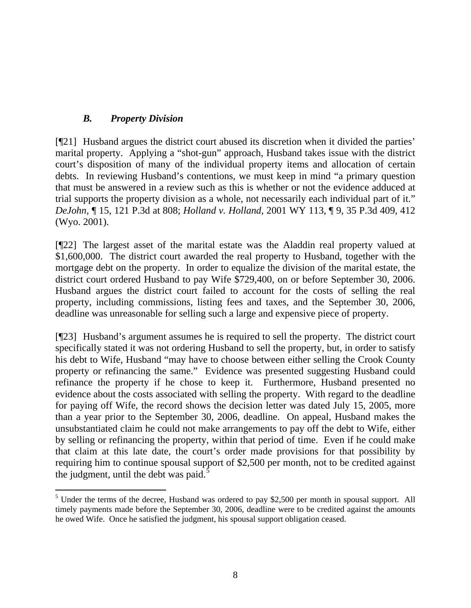# *B. Property Division*

[¶21] Husband argues the district court abused its discretion when it divided the parties' marital property. Applying a "shot-gun" approach, Husband takes issue with the district court's disposition of many of the individual property items and allocation of certain debts. In reviewing Husband's contentions, we must keep in mind "a primary question that must be answered in a review such as this is whether or not the evidence adduced at trial supports the property division as a whole, not necessarily each individual part of it." *DeJohn,* ¶ 15, 121 P.3d at 808; *Holland v. Holland*, 2001 WY 113, ¶ 9, 35 P.3d 409, 412 (Wyo. 2001).

[¶22] The largest asset of the marital estate was the Aladdin real property valued at \$1,600,000. The district court awarded the real property to Husband, together with the mortgage debt on the property. In order to equalize the division of the marital estate, the district court ordered Husband to pay Wife \$729,400, on or before September 30, 2006. Husband argues the district court failed to account for the costs of selling the real property, including commissions, listing fees and taxes, and the September 30, 2006, deadline was unreasonable for selling such a large and expensive piece of property.

[¶23] Husband's argument assumes he is required to sell the property. The district court specifically stated it was not ordering Husband to sell the property, but, in order to satisfy his debt to Wife, Husband "may have to choose between either selling the Crook County property or refinancing the same." Evidence was presented suggesting Husband could refinance the property if he chose to keep it. Furthermore, Husband presented no evidence about the costs associated with selling the property. With regard to the deadline for paying off Wife, the record shows the decision letter was dated July 15, 2005, more than a year prior to the September 30, 2006, deadline. On appeal, Husband makes the unsubstantiated claim he could not make arrangements to pay off the debt to Wife, either by selling or refinancing the property, within that period of time. Even if he could make that claim at this late date, the court's order made provisions for that possibility by requiring him to continue spousal support of \$2,500 per month, not to be credited against the judgment, until the debt was paid. $\frac{5}{5}$  $\frac{5}{5}$  $\frac{5}{5}$ 

<span id="page-9-0"></span>  $<sup>5</sup>$  Under the terms of the decree, Husband was ordered to pay \$2,500 per month in spousal support. All</sup> timely payments made before the September 30, 2006, deadline were to be credited against the amounts he owed Wife. Once he satisfied the judgment, his spousal support obligation ceased.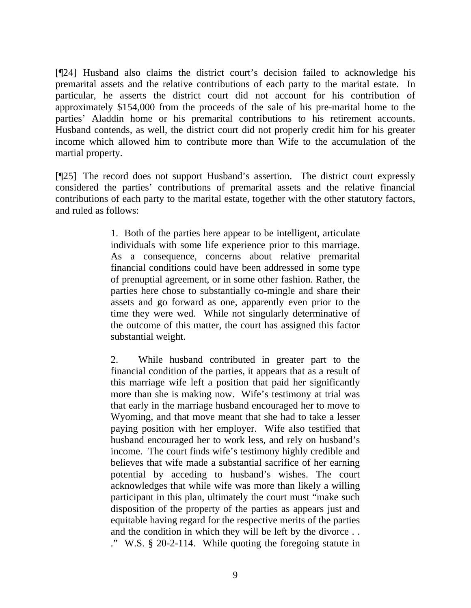[¶24] Husband also claims the district court's decision failed to acknowledge his premarital assets and the relative contributions of each party to the marital estate. In particular, he asserts the district court did not account for his contribution of approximately \$154,000 from the proceeds of the sale of his pre-marital home to the parties' Aladdin home or his premarital contributions to his retirement accounts. Husband contends, as well, the district court did not properly credit him for his greater income which allowed him to contribute more than Wife to the accumulation of the martial property.

[¶25] The record does not support Husband's assertion. The district court expressly considered the parties' contributions of premarital assets and the relative financial contributions of each party to the marital estate, together with the other statutory factors, and ruled as follows:

> 1. Both of the parties here appear to be intelligent, articulate individuals with some life experience prior to this marriage. As a consequence, concerns about relative premarital financial conditions could have been addressed in some type of prenuptial agreement, or in some other fashion. Rather, the parties here chose to substantially co-mingle and share their assets and go forward as one, apparently even prior to the time they were wed. While not singularly determinative of the outcome of this matter, the court has assigned this factor substantial weight.

> 2. While husband contributed in greater part to the financial condition of the parties, it appears that as a result of this marriage wife left a position that paid her significantly more than she is making now. Wife's testimony at trial was that early in the marriage husband encouraged her to move to Wyoming, and that move meant that she had to take a lesser paying position with her employer. Wife also testified that husband encouraged her to work less, and rely on husband's income. The court finds wife's testimony highly credible and believes that wife made a substantial sacrifice of her earning potential by acceding to husband's wishes. The court acknowledges that while wife was more than likely a willing participant in this plan, ultimately the court must "make such disposition of the property of the parties as appears just and equitable having regard for the respective merits of the parties and the condition in which they will be left by the divorce . . ." W.S. § 20-2-114. While quoting the foregoing statute in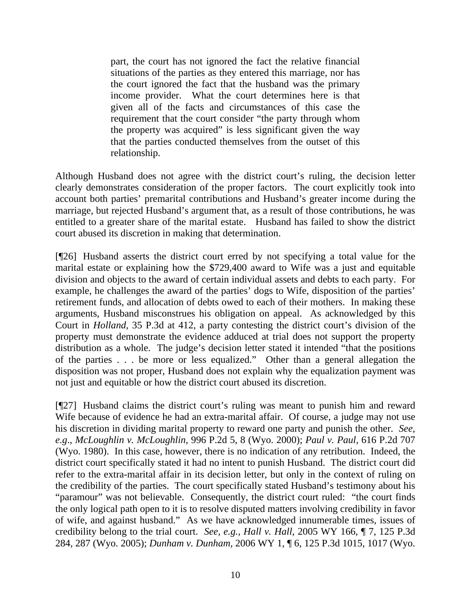part, the court has not ignored the fact the relative financial situations of the parties as they entered this marriage, nor has the court ignored the fact that the husband was the primary income provider. What the court determines here is that given all of the facts and circumstances of this case the requirement that the court consider "the party through whom the property was acquired" is less significant given the way that the parties conducted themselves from the outset of this relationship.

Although Husband does not agree with the district court's ruling, the decision letter clearly demonstrates consideration of the proper factors. The court explicitly took into account both parties' premarital contributions and Husband's greater income during the marriage, but rejected Husband's argument that, as a result of those contributions, he was entitled to a greater share of the marital estate. Husband has failed to show the district court abused its discretion in making that determination.

[¶26] Husband asserts the district court erred by not specifying a total value for the marital estate or explaining how the \$729,400 award to Wife was a just and equitable division and objects to the award of certain individual assets and debts to each party. For example, he challenges the award of the parties' dogs to Wife, disposition of the parties' retirement funds, and allocation of debts owed to each of their mothers. In making these arguments, Husband misconstrues his obligation on appeal. As acknowledged by this Court in *Holland,* 35 P.3d at 412, a party contesting the district court's division of the property must demonstrate the evidence adduced at trial does not support the property distribution as a whole. The judge's decision letter stated it intended "that the positions of the parties . . . be more or less equalized." Other than a general allegation the disposition was not proper, Husband does not explain why the equalization payment was not just and equitable or how the district court abused its discretion.

[¶27] Husband claims the district court's ruling was meant to punish him and reward Wife because of evidence he had an extra-marital affair. Of course, a judge may not use his discretion in dividing marital property to reward one party and punish the other. *See, e.g*., *McLoughlin v. McLoughlin,* 996 P.2d 5, 8 (Wyo. 2000); *Paul v. Paul,* 616 P.2d 707 (Wyo. 1980). In this case, however, there is no indication of any retribution. Indeed, the district court specifically stated it had no intent to punish Husband. The district court did refer to the extra-marital affair in its decision letter, but only in the context of ruling on the credibility of the parties. The court specifically stated Husband's testimony about his "paramour" was not believable. Consequently, the district court ruled: "the court finds the only logical path open to it is to resolve disputed matters involving credibility in favor of wife, and against husband." As we have acknowledged innumerable times, issues of credibility belong to the trial court. *See, e.g., Hall v. Hall,* 2005 WY 166, ¶ 7, 125 P.3d 284, 287 (Wyo. 2005); *Dunham v. Dunham,* 2006 WY 1, ¶ 6, 125 P.3d 1015, 1017 (Wyo.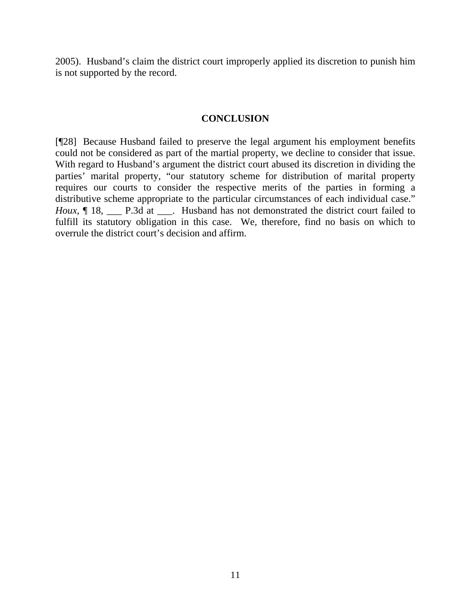2005). Husband's claim the district court improperly applied its discretion to punish him is not supported by the record.

#### **CONCLUSION**

[¶28] Because Husband failed to preserve the legal argument his employment benefits could not be considered as part of the martial property, we decline to consider that issue. With regard to Husband's argument the district court abused its discretion in dividing the parties' marital property, "our statutory scheme for distribution of marital property requires our courts to consider the respective merits of the parties in forming a distributive scheme appropriate to the particular circumstances of each individual case." *Houx*,  $\P$  18, \_\_\_\_ P.3d at \_\_\_. Husband has not demonstrated the district court failed to fulfill its statutory obligation in this case. We, therefore, find no basis on which to overrule the district court's decision and affirm.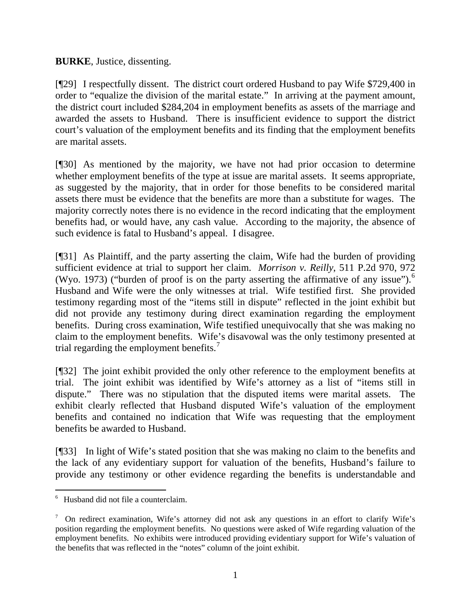**BURKE**, Justice, dissenting.

[¶29] I respectfully dissent. The district court ordered Husband to pay Wife \$729,400 in order to "equalize the division of the marital estate." In arriving at the payment amount, the district court included \$284,204 in employment benefits as assets of the marriage and awarded the assets to Husband. There is insufficient evidence to support the district court's valuation of the employment benefits and its finding that the employment benefits are marital assets.

[¶30] As mentioned by the majority, we have not had prior occasion to determine whether employment benefits of the type at issue are marital assets. It seems appropriate, as suggested by the majority, that in order for those benefits to be considered marital assets there must be evidence that the benefits are more than a substitute for wages. The majority correctly notes there is no evidence in the record indicating that the employment benefits had, or would have, any cash value. According to the majority, the absence of such evidence is fatal to Husband's appeal. I disagree.

[¶31] As Plaintiff, and the party asserting the claim, Wife had the burden of providing sufficient evidence at trial to support her claim. *Morrison v. Reilly*, 511 P.2d 970, 972 (Wyo. 1973) ("burden of proof is on the party asserting the affirmative of any issue").<sup>[6](#page-13-0)</sup> Husband and Wife were the only witnesses at trial. Wife testified first. She provided testimony regarding most of the "items still in dispute" reflected in the joint exhibit but did not provide any testimony during direct examination regarding the employment benefits. During cross examination, Wife testified unequivocally that she was making no claim to the employment benefits. Wife's disavowal was the only testimony presented at trial regarding the employment benefits. $<sup>7</sup>$  $<sup>7</sup>$  $<sup>7</sup>$ </sup>

[¶32] The joint exhibit provided the only other reference to the employment benefits at trial. The joint exhibit was identified by Wife's attorney as a list of "items still in dispute." There was no stipulation that the disputed items were marital assets. The exhibit clearly reflected that Husband disputed Wife's valuation of the employment benefits and contained no indication that Wife was requesting that the employment benefits be awarded to Husband.

[¶33] In light of Wife's stated position that she was making no claim to the benefits and the lack of any evidentiary support for valuation of the benefits, Husband's failure to provide any testimony or other evidence regarding the benefits is understandable and

<span id="page-13-0"></span><sup>6</sup> Husband did not file a counterclaim.

<span id="page-13-1"></span><sup>&</sup>lt;sup>7</sup> On redirect examination, Wife's attorney did not ask any questions in an effort to clarify Wife's position regarding the employment benefits. No questions were asked of Wife regarding valuation of the employment benefits. No exhibits were introduced providing evidentiary support for Wife's valuation of the benefits that was reflected in the "notes" column of the joint exhibit.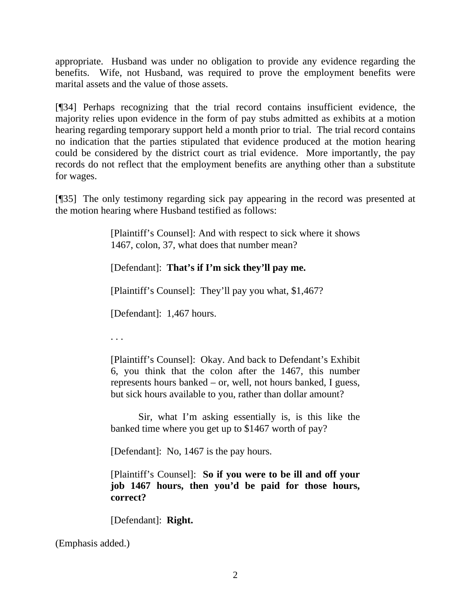appropriate. Husband was under no obligation to provide any evidence regarding the benefits. Wife, not Husband, was required to prove the employment benefits were marital assets and the value of those assets.

[¶34] Perhaps recognizing that the trial record contains insufficient evidence, the majority relies upon evidence in the form of pay stubs admitted as exhibits at a motion hearing regarding temporary support held a month prior to trial. The trial record contains no indication that the parties stipulated that evidence produced at the motion hearing could be considered by the district court as trial evidence. More importantly, the pay records do not reflect that the employment benefits are anything other than a substitute for wages.

[¶35] The only testimony regarding sick pay appearing in the record was presented at the motion hearing where Husband testified as follows:

> [Plaintiff's Counsel]: And with respect to sick where it shows 1467, colon, 37, what does that number mean?

[Defendant]: **That's if I'm sick they'll pay me.**

[Plaintiff's Counsel]: They'll pay you what, \$1,467?

[Defendant]: 1,467 hours.

. . .

[Plaintiff's Counsel]: Okay. And back to Defendant's Exhibit 6, you think that the colon after the 1467, this number represents hours banked – or, well, not hours banked, I guess, but sick hours available to you, rather than dollar amount?

Sir, what I'm asking essentially is, is this like the banked time where you get up to \$1467 worth of pay?

[Defendant]: No, 1467 is the pay hours.

[Plaintiff's Counsel]: **So if you were to be ill and off your job 1467 hours, then you'd be paid for those hours, correct?** 

[Defendant]: **Right.**

(Emphasis added.)